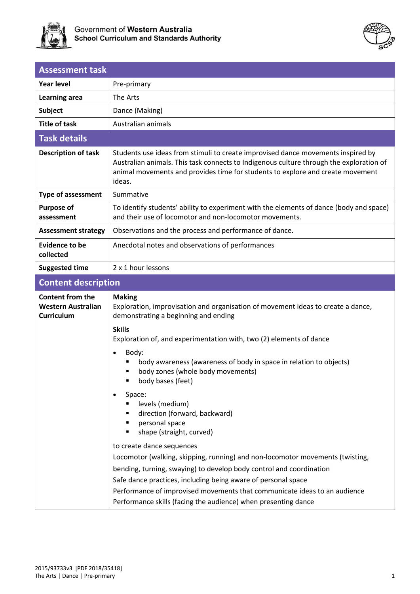



| <b>Assessment task</b>          |                                                                                                                                                                                                                                                                         |
|---------------------------------|-------------------------------------------------------------------------------------------------------------------------------------------------------------------------------------------------------------------------------------------------------------------------|
| Year level                      | Pre-primary                                                                                                                                                                                                                                                             |
| Learning area                   | The Arts                                                                                                                                                                                                                                                                |
| <b>Subject</b>                  | Dance (Making)                                                                                                                                                                                                                                                          |
| <b>Title of task</b>            | Australian animals                                                                                                                                                                                                                                                      |
| <b>Task details</b>             |                                                                                                                                                                                                                                                                         |
| <b>Description of task</b>      | Students use ideas from stimuli to create improvised dance movements inspired by<br>Australian animals. This task connects to Indigenous culture through the exploration of<br>animal movements and provides time for students to explore and create movement<br>ideas. |
| <b>Type of assessment</b>       | Summative                                                                                                                                                                                                                                                               |
| <b>Purpose of</b><br>assessment | To identify students' ability to experiment with the elements of dance (body and space)<br>and their use of locomotor and non-locomotor movements.                                                                                                                      |
| <b>Assessment strategy</b>      | Observations and the process and performance of dance.                                                                                                                                                                                                                  |
| Evidence to be<br>collected     | Anecdotal notes and observations of performances                                                                                                                                                                                                                        |
| <b>Suggested time</b>           | 2 x 1 hour lessons                                                                                                                                                                                                                                                      |

# **Content description**

| <b>Content from the</b><br><b>Western Australian</b><br><b>Curriculum</b> | <b>Making</b><br>Exploration, improvisation and organisation of movement ideas to create a dance,<br>demonstrating a beginning and ending<br><b>Skills</b> |  |
|---------------------------------------------------------------------------|------------------------------------------------------------------------------------------------------------------------------------------------------------|--|
|                                                                           | Exploration of, and experimentation with, two (2) elements of dance                                                                                        |  |
|                                                                           | Body:<br>$\bullet$<br>body awareness (awareness of body in space in relation to objects)<br>body zones (whole body movements)<br>body bases (feet)         |  |
|                                                                           | Space:<br>$\bullet$<br>levels (medium)<br>direction (forward, backward)<br>personal space<br>shape (straight, curved)                                      |  |
|                                                                           | to create dance sequences                                                                                                                                  |  |
|                                                                           | Locomotor (walking, skipping, running) and non-locomotor movements (twisting,                                                                              |  |
|                                                                           | bending, turning, swaying) to develop body control and coordination<br>Safe dance practices, including being aware of personal space                       |  |
|                                                                           | Performance of improvised movements that communicate ideas to an audience<br>Performance skills (facing the audience) when presenting dance                |  |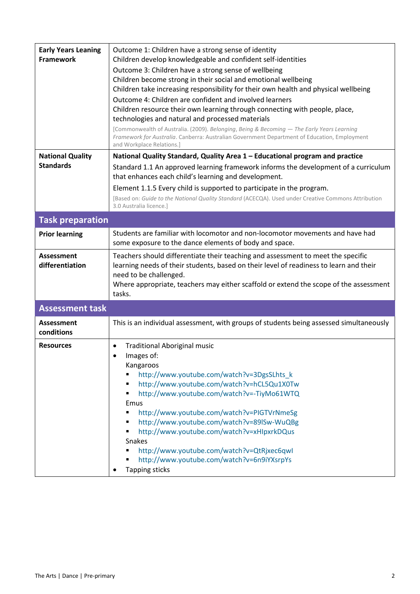| <b>Early Years Leaning</b><br><b>Framework</b> | Outcome 1: Children have a strong sense of identity<br>Children develop knowledgeable and confident self-identities<br>Outcome 3: Children have a strong sense of wellbeing<br>Children become strong in their social and emotional wellbeing<br>Children take increasing responsibility for their own health and physical wellbeing<br>Outcome 4: Children are confident and involved learners<br>Children resource their own learning through connecting with people, place,<br>technologies and natural and processed materials<br>[Commonwealth of Australia. (2009). Belonging, Being & Becoming - The Early Years Learning<br>Framework for Australia. Canberra: Australian Government Department of Education, Employment<br>and Workplace Relations.] |
|------------------------------------------------|---------------------------------------------------------------------------------------------------------------------------------------------------------------------------------------------------------------------------------------------------------------------------------------------------------------------------------------------------------------------------------------------------------------------------------------------------------------------------------------------------------------------------------------------------------------------------------------------------------------------------------------------------------------------------------------------------------------------------------------------------------------|
| <b>National Quality</b><br><b>Standards</b>    | National Quality Standard, Quality Area 1 - Educational program and practice<br>Standard 1.1 An approved learning framework informs the development of a curriculum<br>that enhances each child's learning and development.                                                                                                                                                                                                                                                                                                                                                                                                                                                                                                                                   |
|                                                | Element 1.1.5 Every child is supported to participate in the program.<br>[Based on: Guide to the National Quality Standard (ACECQA). Used under Creative Commons Attribution<br>3.0 Australia licence.]                                                                                                                                                                                                                                                                                                                                                                                                                                                                                                                                                       |
| <b>Task preparation</b>                        |                                                                                                                                                                                                                                                                                                                                                                                                                                                                                                                                                                                                                                                                                                                                                               |
| <b>Prior learning</b>                          | Students are familiar with locomotor and non-locomotor movements and have had<br>some exposure to the dance elements of body and space.                                                                                                                                                                                                                                                                                                                                                                                                                                                                                                                                                                                                                       |
| <b>Assessment</b><br>differentiation           | Teachers should differentiate their teaching and assessment to meet the specific<br>learning needs of their students, based on their level of readiness to learn and their<br>need to be challenged.<br>Where appropriate, teachers may either scaffold or extend the scope of the assessment<br>tasks.                                                                                                                                                                                                                                                                                                                                                                                                                                                       |
| <b>Assessment task</b>                         |                                                                                                                                                                                                                                                                                                                                                                                                                                                                                                                                                                                                                                                                                                                                                               |
| <b>Assessment</b><br>conditions                | This is an individual assessment, with groups of students being assessed simultaneously                                                                                                                                                                                                                                                                                                                                                                                                                                                                                                                                                                                                                                                                       |
| <b>Resources</b>                               | <b>Traditional Aboriginal music</b><br>Images of:<br>Kangaroos<br>http://www.youtube.com/watch?v=3DgsSLhts k<br>http://www.youtube.com/watch?v=hCL5Qu1X0Tw<br>http://www.youtube.com/watch?v=-TiyMo61WTQ<br>Emus<br>http://www.youtube.com/watch?v=PIGTVrNmeSg<br>п<br>http://www.youtube.com/watch?v=89lSw-WuQBg<br>http://www.youtube.com/watch?v=xHIpxrkDQus<br>Snakes<br>http://www.youtube.com/watch?v=QtRjxec6qwl<br>http://www.youtube.com/watch?v=6n9iYXsrpYs<br><b>Tapping sticks</b><br>٠                                                                                                                                                                                                                                                           |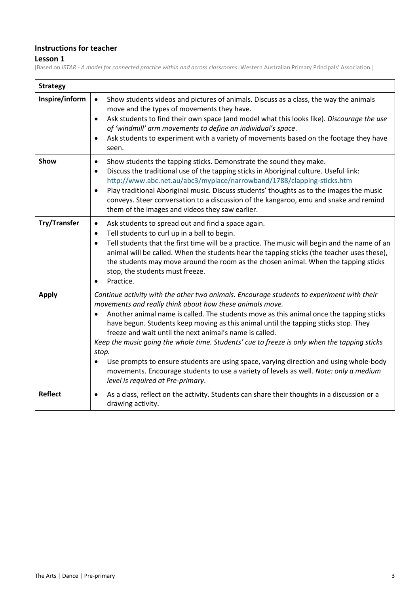#### **Instructions for teacher**

### **Lesson 1**

[Based on *iSTAR - A model for connected practice within and across classrooms*. Western Australian Primary Principals' Association.]

| <b>Strategy</b><br>Inspire/inform | Show students videos and pictures of animals. Discuss as a class, the way the animals<br>$\bullet$                                                                                                                                                                                                                                                                                                                                                                                                                                                                                                                                                                                                                                  |
|-----------------------------------|-------------------------------------------------------------------------------------------------------------------------------------------------------------------------------------------------------------------------------------------------------------------------------------------------------------------------------------------------------------------------------------------------------------------------------------------------------------------------------------------------------------------------------------------------------------------------------------------------------------------------------------------------------------------------------------------------------------------------------------|
|                                   | move and the types of movements they have.                                                                                                                                                                                                                                                                                                                                                                                                                                                                                                                                                                                                                                                                                          |
|                                   | Ask students to find their own space (and model what this looks like). Discourage the use<br>$\bullet$<br>of 'windmill' arm movements to define an individual's space.<br>Ask students to experiment with a variety of movements based on the footage they have<br>$\bullet$                                                                                                                                                                                                                                                                                                                                                                                                                                                        |
|                                   | seen.                                                                                                                                                                                                                                                                                                                                                                                                                                                                                                                                                                                                                                                                                                                               |
| Show                              | Show students the tapping sticks. Demonstrate the sound they make.<br>$\bullet$<br>Discuss the traditional use of the tapping sticks in Aboriginal culture. Useful link:<br>$\bullet$<br>http://www.abc.net.au/abc3/myplace/narrowband/1788/clapping-sticks.htm<br>Play traditional Aboriginal music. Discuss students' thoughts as to the images the music<br>$\bullet$<br>conveys. Steer conversation to a discussion of the kangaroo, emu and snake and remind<br>them of the images and videos they saw earlier.                                                                                                                                                                                                                |
| <b>Try/Transfer</b>               | Ask students to spread out and find a space again.<br>$\bullet$<br>Tell students to curl up in a ball to begin.<br>$\bullet$<br>Tell students that the first time will be a practice. The music will begin and the name of an<br>$\bullet$<br>animal will be called. When the students hear the tapping sticks (the teacher uses these),<br>the students may move around the room as the chosen animal. When the tapping sticks<br>stop, the students must freeze.<br>Practice.                                                                                                                                                                                                                                                     |
| <b>Apply</b>                      | Continue activity with the other two animals. Encourage students to experiment with their<br>movements and really think about how these animals move.<br>Another animal name is called. The students move as this animal once the tapping sticks<br>have begun. Students keep moving as this animal until the tapping sticks stop. They<br>freeze and wait until the next animal's name is called.<br>Keep the music going the whole time. Students' cue to freeze is only when the tapping sticks<br>stop.<br>Use prompts to ensure students are using space, varying direction and using whole-body<br>movements. Encourage students to use a variety of levels as well. Note: only a medium<br>level is required at Pre-primary. |
| <b>Reflect</b>                    | As a class, reflect on the activity. Students can share their thoughts in a discussion or a<br>$\bullet$<br>drawing activity.                                                                                                                                                                                                                                                                                                                                                                                                                                                                                                                                                                                                       |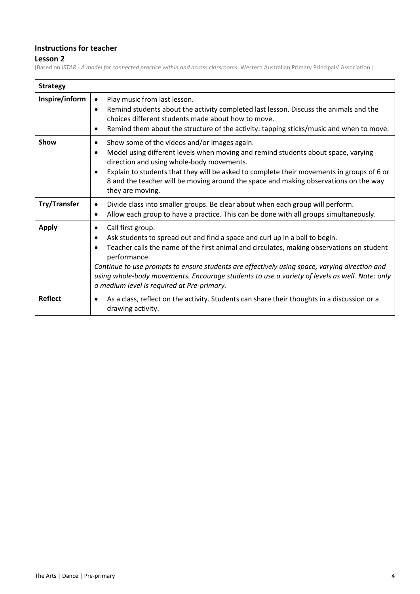#### **Instructions for teacher**

### **Lesson 2**

[Based on *iSTAR - A model for connected practice within and across classrooms*. Western Australian Primary Principals' Association.]

| <b>Strategy</b>     |                                                                                                                                                                                                                                                                                                                                                                                                                                                                            |
|---------------------|----------------------------------------------------------------------------------------------------------------------------------------------------------------------------------------------------------------------------------------------------------------------------------------------------------------------------------------------------------------------------------------------------------------------------------------------------------------------------|
| Inspire/inform      | Play music from last lesson.<br>$\bullet$<br>Remind students about the activity completed last lesson. Discuss the animals and the<br>$\bullet$<br>choices different students made about how to move.<br>Remind them about the structure of the activity: tapping sticks/music and when to move.<br>$\bullet$                                                                                                                                                              |
| Show                | Show some of the videos and/or images again.<br>٠<br>Model using different levels when moving and remind students about space, varying<br>$\bullet$<br>direction and using whole-body movements.<br>Explain to students that they will be asked to complete their movements in groups of 6 or<br>$\bullet$<br>8 and the teacher will be moving around the space and making observations on the way<br>they are moving.                                                     |
| <b>Try/Transfer</b> | Divide class into smaller groups. Be clear about when each group will perform.<br>$\bullet$<br>Allow each group to have a practice. This can be done with all groups simultaneously.<br>$\bullet$                                                                                                                                                                                                                                                                          |
| <b>Apply</b>        | Call first group.<br>Ask students to spread out and find a space and curl up in a ball to begin.<br>$\bullet$<br>Teacher calls the name of the first animal and circulates, making observations on student<br>performance.<br>Continue to use prompts to ensure students are effectively using space, varying direction and<br>using whole-body movements. Encourage students to use a variety of levels as well. Note: only<br>a medium level is required at Pre-primary. |
| <b>Reflect</b>      | As a class, reflect on the activity. Students can share their thoughts in a discussion or a<br>$\bullet$<br>drawing activity.                                                                                                                                                                                                                                                                                                                                              |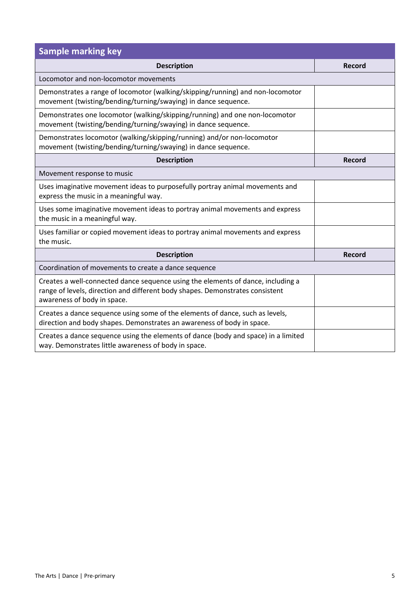| <b>Sample marking key</b>                                                                                                                                                                        |               |
|--------------------------------------------------------------------------------------------------------------------------------------------------------------------------------------------------|---------------|
| <b>Description</b>                                                                                                                                                                               | <b>Record</b> |
| Locomotor and non-locomotor movements                                                                                                                                                            |               |
| Demonstrates a range of locomotor (walking/skipping/running) and non-locomotor<br>movement (twisting/bending/turning/swaying) in dance sequence.                                                 |               |
| Demonstrates one locomotor (walking/skipping/running) and one non-locomotor<br>movement (twisting/bending/turning/swaying) in dance sequence.                                                    |               |
| Demonstrates locomotor (walking/skipping/running) and/or non-locomotor<br>movement (twisting/bending/turning/swaying) in dance sequence.                                                         |               |
| <b>Description</b>                                                                                                                                                                               | <b>Record</b> |
| Movement response to music                                                                                                                                                                       |               |
| Uses imaginative movement ideas to purposefully portray animal movements and<br>express the music in a meaningful way.                                                                           |               |
| Uses some imaginative movement ideas to portray animal movements and express<br>the music in a meaningful way.                                                                                   |               |
| Uses familiar or copied movement ideas to portray animal movements and express<br>the music.                                                                                                     |               |
| <b>Description</b>                                                                                                                                                                               | <b>Record</b> |
| Coordination of movements to create a dance sequence                                                                                                                                             |               |
| Creates a well-connected dance sequence using the elements of dance, including a<br>range of levels, direction and different body shapes. Demonstrates consistent<br>awareness of body in space. |               |
| Creates a dance sequence using some of the elements of dance, such as levels,<br>direction and body shapes. Demonstrates an awareness of body in space.                                          |               |
| Creates a dance sequence using the elements of dance (body and space) in a limited<br>way. Demonstrates little awareness of body in space.                                                       |               |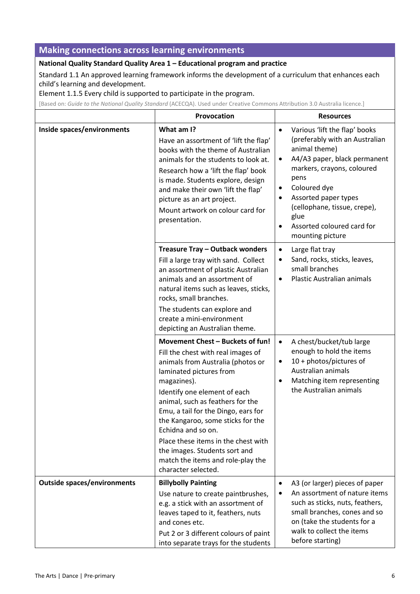## **Making connections across learning environments**

#### **National Quality Standard Quality Area 1 – Educational program and practice**

Standard 1.1 An approved learning framework informs the development of a curriculum that enhances each child's learning and development.

Element 1.1.5 Every child is supported to participate in the program.

[Based on: *Guide to the National Quality Standard* (ACECQA). Used under Creative Commons [Attribution](https://creativecommons.org/licenses/by/3.0/au/deed.en) 3.0 Australia licence.]

|                                    | Provocation                                                                                                                                                                                                                                                                                                                                                                                                                                                     | <b>Resources</b>                                                                                                                                                                                                                                                                                                             |
|------------------------------------|-----------------------------------------------------------------------------------------------------------------------------------------------------------------------------------------------------------------------------------------------------------------------------------------------------------------------------------------------------------------------------------------------------------------------------------------------------------------|------------------------------------------------------------------------------------------------------------------------------------------------------------------------------------------------------------------------------------------------------------------------------------------------------------------------------|
| Inside spaces/environments         | What am I?<br>Have an assortment of 'lift the flap'<br>books with the theme of Australian<br>animals for the students to look at.<br>Research how a 'lift the flap' book<br>is made. Students explore, design<br>and make their own 'lift the flap'<br>picture as an art project.<br>Mount artwork on colour card for<br>presentation.                                                                                                                          | Various 'lift the flap' books<br>$\bullet$<br>(preferably with an Australian<br>animal theme)<br>A4/A3 paper, black permanent<br>٠<br>markers, crayons, coloured<br>pens<br>Coloured dye<br>Assorted paper types<br>٠<br>(cellophane, tissue, crepe),<br>glue<br>Assorted coloured card for<br>$\bullet$<br>mounting picture |
|                                    | Treasure Tray - Outback wonders<br>Fill a large tray with sand. Collect<br>an assortment of plastic Australian<br>animals and an assortment of<br>natural items such as leaves, sticks,<br>rocks, small branches.<br>The students can explore and<br>create a mini-environment<br>depicting an Australian theme.                                                                                                                                                | Large flat tray<br>$\bullet$<br>Sand, rocks, sticks, leaves,<br>$\bullet$<br>small branches<br><b>Plastic Australian animals</b><br>$\bullet$                                                                                                                                                                                |
|                                    | Movement Chest - Buckets of fun!<br>Fill the chest with real images of<br>animals from Australia (photos or<br>laminated pictures from<br>magazines).<br>Identify one element of each<br>animal, such as feathers for the<br>Emu, a tail for the Dingo, ears for<br>the Kangaroo, some sticks for the<br>Echidna and so on.<br>Place these items in the chest with<br>the images. Students sort and<br>match the items and role-play the<br>character selected. | A chest/bucket/tub large<br>$\bullet$<br>enough to hold the items<br>10 + photos/pictures of<br>٠<br>Australian animals<br>Matching item representing<br>$\bullet$<br>the Australian animals                                                                                                                                 |
| <b>Outside spaces/environments</b> | <b>Billybolly Painting</b><br>Use nature to create paintbrushes,<br>e.g. a stick with an assortment of<br>leaves taped to it, feathers, nuts<br>and cones etc.<br>Put 2 or 3 different colours of paint<br>into separate trays for the students                                                                                                                                                                                                                 | A3 (or larger) pieces of paper<br>$\bullet$<br>An assortment of nature items<br>such as sticks, nuts, feathers,<br>small branches, cones and so<br>on (take the students for a<br>walk to collect the items<br>before starting)                                                                                              |